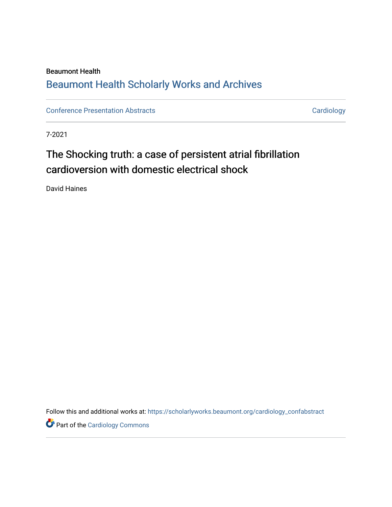# Beaumont Health [Beaumont Health Scholarly Works and Archives](https://scholarlyworks.beaumont.org/)

[Conference Presentation Abstracts](https://scholarlyworks.beaumont.org/cardiology_confabstract) **Cardiology** Cardiology

7-2021

# The Shocking truth: a case of persistent atrial fibrillation cardioversion with domestic electrical shock

David Haines

Follow this and additional works at: [https://scholarlyworks.beaumont.org/cardiology\\_confabstract](https://scholarlyworks.beaumont.org/cardiology_confabstract?utm_source=scholarlyworks.beaumont.org%2Fcardiology_confabstract%2F20&utm_medium=PDF&utm_campaign=PDFCoverPages)

**Part of the [Cardiology Commons](http://network.bepress.com/hgg/discipline/683?utm_source=scholarlyworks.beaumont.org%2Fcardiology_confabstract%2F20&utm_medium=PDF&utm_campaign=PDFCoverPages)**